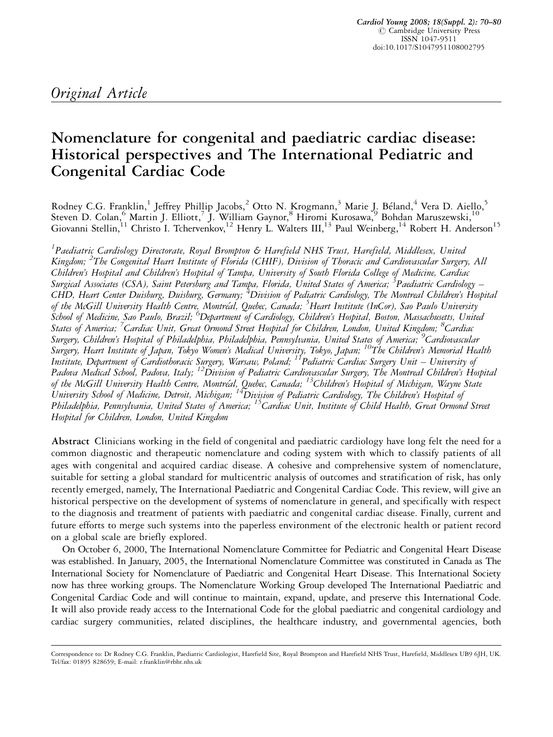# Nomenclature for congenital and paediatric cardiac disease: Historical perspectives and The International Pediatric and Congenital Cardiac Code

Rodney C.G. Franklin,<sup>1</sup> Jeffrey Phillip Jacobs,<sup>2</sup> Otto N. Krogmann,<sup>3</sup> Marie J. Béland,<sup>4</sup> Vera D. Aiello,<sup>5</sup> Steven D. Colan, Martin J. Elliott,<sup>7</sup> J. William Gaynor,<sup>8</sup> Hiromi Kurosawa,<sup>9</sup> Bohdan Maruszewski,<sup>10</sup> Giovanni Stellin,<sup>11</sup> Christo I. Tchervenkov,<sup>12</sup> Henry L. Walters III,<sup>13</sup> Paul Weinberg,<sup>14</sup> Robert H. Anderson<sup>15</sup>

<sup>1</sup>Paediatric Cardiology Directorate, Royal Brompton & Harefield NHS Trust, Harefield, Middlesex, United Kingdom; <sup>2</sup>The Congenital Heart Institute of Florida (CHIF), Division of Thoracic and Cardiovascular Surgery, All Children's Hospital and Children's Hospital of Tampa, University of South Florida College of Medicine, Cardiac Surgical Associates (CSA), Saint Petersburg and Tampa, Florida, United States of America; <sup>3</sup>Paediatric Cardiology – CHD, Heart Center Duisburg, Duisburg, Germany; <sup>4</sup>Division of Pediatric Cardiology, The Montreal Children's Hospital of the McGill University Health Centre, Montréal, Quebec, Canada; <sup>5</sup>Heart Institute (InCor), Sao Paulo University s<br>School of Medicine, Sao Paulo, Brazil; <sup>6</sup>Department of Cardiology, Children's Hospital, Boston, Massachusetts, United States of America; <sup>7</sup>Cardiac Unit, Great Ormond Street Hospital for Children, London, United Kingdom; <sup>8</sup>Cardiac Surgery, Children's Hospital of Philadelphia, Philadelphia, Pennsylvania, United States of America; <sup>9</sup>Cardiovascular Surgery, Heart Institute of Japan, Tokyo Women's Medical University, Tokyo, Japan; <sup>10</sup>The Children's Memorial Health Institute, Department of Cardiothoracic Surgery, Warsaw, Poland; 11Pediatric Cardiac Surgery Unit – University of Padova Medical School, Padova, Italy; <sup>12</sup>Division of Pediatric Cardiovascular Surgery, The Montreal Children's Hospital of the McGill University Health Centre, Montréal, Quebec, Canada; <sup>13</sup>Children's Hospital of Michigan, Wayne State University School of Medicine, Detroit, Michigan; <sup>14</sup>Division of Pediatric Cardiology, The Children's Hospital of Philadelphia, Pennsylvania, United States of America; <sup>15</sup>Cardiac Unit, Institute of Child Health, Great Ormond Street Hospital for Children, London, United Kingdom

Abstract Clinicians working in the field of congenital and paediatric cardiology have long felt the need for a common diagnostic and therapeutic nomenclature and coding system with which to classify patients of all ages with congenital and acquired cardiac disease. A cohesive and comprehensive system of nomenclature, suitable for setting a global standard for multicentric analysis of outcomes and stratification of risk, has only recently emerged, namely, The International Paediatric and Congenital Cardiac Code. This review, will give an historical perspective on the development of systems of nomenclature in general, and specifically with respect to the diagnosis and treatment of patients with paediatric and congenital cardiac disease. Finally, current and future efforts to merge such systems into the paperless environment of the electronic health or patient record on a global scale are briefly explored.

On October 6, 2000, The International Nomenclature Committee for Pediatric and Congenital Heart Disease was established. In January, 2005, the International Nomenclature Committee was constituted in Canada as The International Society for Nomenclature of Paediatric and Congenital Heart Disease. This International Society now has three working groups. The Nomenclature Working Group developed The International Paediatric and Congenital Cardiac Code and will continue to maintain, expand, update, and preserve this International Code. It will also provide ready access to the International Code for the global paediatric and congenital cardiology and cardiac surgery communities, related disciplines, the healthcare industry, and governmental agencies, both

Correspondence to: Dr Rodney C.G. Franklin, Paediatric Cardiologist, Harefield Site, Royal Brompton and Harefield NHS Trust, Harefield, Middlesex UB9 6JH, UK. Tel/fax: 01895 828659; E-mail: r.franklin@rbht.nhs.uk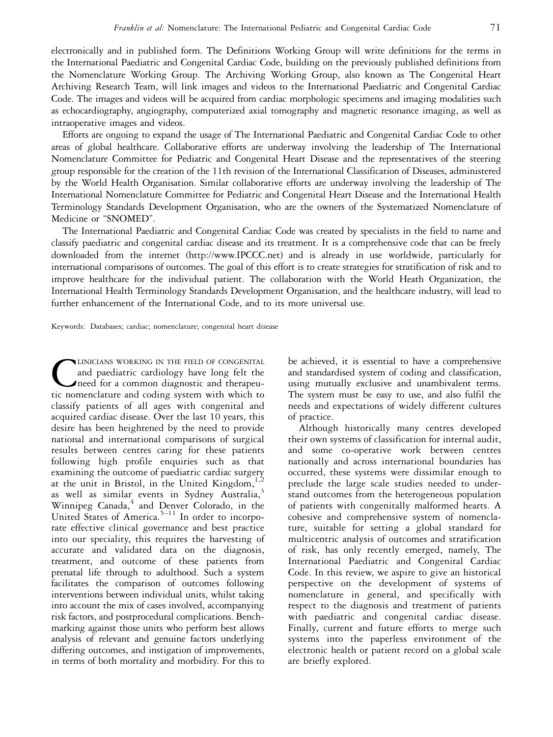electronically and in published form. The Definitions Working Group will write definitions for the terms in the International Paediatric and Congenital Cardiac Code, building on the previously published definitions from the Nomenclature Working Group. The Archiving Working Group, also known as The Congenital Heart Archiving Research Team, will link images and videos to the International Paediatric and Congenital Cardiac Code. The images and videos will be acquired from cardiac morphologic specimens and imaging modalities such as echocardiography, angiography, computerized axial tomography and magnetic resonance imaging, as well as intraoperative images and videos.

Efforts are ongoing to expand the usage of The International Paediatric and Congenital Cardiac Code to other areas of global healthcare. Collaborative efforts are underway involving the leadership of The International Nomenclature Committee for Pediatric and Congenital Heart Disease and the representatives of the steering group responsible for the creation of the 11th revision of the International Classification of Diseases, administered by the World Health Organisation. Similar collaborative efforts are underway involving the leadership of The International Nomenclature Committee for Pediatric and Congenital Heart Disease and the International Health Terminology Standards Development Organisation, who are the owners of the Systematized Nomenclature of Medicine or "SNOMED".

The International Paediatric and Congenital Cardiac Code was created by specialists in the field to name and classify paediatric and congenital cardiac disease and its treatment. It is a comprehensive code that can be freely downloaded from the internet (http://www.IPCCC.net) and is already in use worldwide, particularly for international comparisons of outcomes. The goal of this effort is to create strategies for stratification of risk and to improve healthcare for the individual patient. The collaboration with the World Heath Organization, the International Health Terminology Standards Development Organisation, and the healthcare industry, will lead to further enhancement of the International Code, and to its more universal use.

Keywords: Databases; cardiac; nomenclature; congenital heart disease

CLINICIANS WORKING IN THE FIELD OF CONGENITAL<br>and paediatric cardiology have long felt the<br>need for a common diagnostic and therapeu-<br>tic nomenclature and coding system with which to and paediatric cardiology have long felt the need for a common diagnostic and therapeutic nomenclature and coding system with which to classify patients of all ages with congenital and acquired cardiac disease. Over the last 10 years, this desire has been heightened by the need to provide national and international comparisons of surgical results between centres caring for these patients following high profile enquiries such as that examining the outcome of paediatric cardiac surgery at the unit in Bristol, in the United Kingdom, $\frac{1}{2}$ as well as similar events in Sydney Australia,<sup>3</sup> Winnipeg Canada,<sup>4</sup> and Denver Colorado, in the United States of America.<sup>5-11</sup> In order to incorporate effective clinical governance and best practice into our speciality, this requires the harvesting of accurate and validated data on the diagnosis, treatment, and outcome of these patients from prenatal life through to adulthood. Such a system facilitates the comparison of outcomes following interventions between individual units, whilst taking into account the mix of cases involved, accompanying risk factors, and postprocedural complications. Benchmarking against those units who perform best allows analysis of relevant and genuine factors underlying differing outcomes, and instigation of improvements, in terms of both mortality and morbidity. For this to

be achieved, it is essential to have a comprehensive and standardised system of coding and classification, using mutually exclusive and unambivalent terms. The system must be easy to use, and also fulfil the needs and expectations of widely different cultures of practice.

Although historically many centres developed their own systems of classification for internal audit, and some co-operative work between centres nationally and across international boundaries has occurred, these systems were dissimilar enough to preclude the large scale studies needed to understand outcomes from the heterogeneous population of patients with congenitally malformed hearts. A cohesive and comprehensive system of nomenclature, suitable for setting a global standard for multicentric analysis of outcomes and stratification of risk, has only recently emerged, namely, The International Paediatric and Congenital Cardiac Code. In this review, we aspire to give an historical perspective on the development of systems of nomenclature in general, and specifically with respect to the diagnosis and treatment of patients with paediatric and congenital cardiac disease. Finally, current and future efforts to merge such systems into the paperless environment of the electronic health or patient record on a global scale are briefly explored.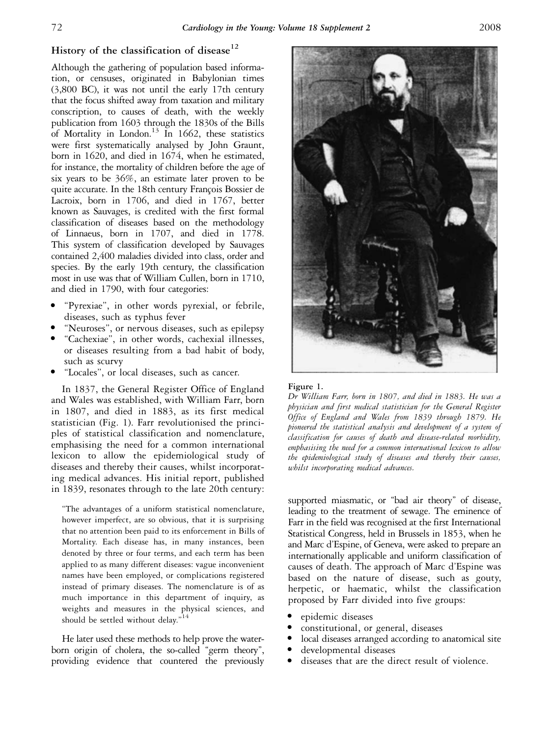# History of the classification of disease<sup>12</sup>

Although the gathering of population based information, or censuses, originated in Babylonian times (3,800 BC), it was not until the early 17th century that the focus shifted away from taxation and military conscription, to causes of death, with the weekly publication from 1603 through the 1830s of the Bills of Mortality in London.<sup>13</sup> In 1662, these statistics were first systematically analysed by John Graunt, born in 1620, and died in 1674, when he estimated, for instance, the mortality of children before the age of six years to be 36%, an estimate later proven to be quite accurate. In the 18th century François Bossier de Lacroix, born in 1706, and died in 1767, better known as Sauvages, is credited with the first formal classification of diseases based on the methodology of Linnaeus, born in 1707, and died in 1778. This system of classification developed by Sauvages contained 2,400 maladies divided into class, order and species. By the early 19th century, the classification most in use was that of William Cullen, born in 1710, and died in 1790, with four categories:

- "Pyrexiae", in other words pyrexial, or febrile, diseases, such as typhus fever
- <sup>&</sup>gt; ''Neuroses'', or nervous diseases, such as epilepsy
- <sup>&</sup>gt; ''Cachexiae'', in other words, cachexial illnesses, or diseases resulting from a bad habit of body, such as scurvy
- "Locales", or local diseases, such as cancer.

In 1837, the General Register Office of England and Wales was established, with William Farr, born in 1807, and died in 1883, as its first medical statistician (Fig. 1). Farr revolutionised the principles of statistical classification and nomenclature, emphasising the need for a common international lexicon to allow the epidemiological study of diseases and thereby their causes, whilst incorporating medical advances. His initial report, published in 1839, resonates through to the late 20th century:

''The advantages of a uniform statistical nomenclature, however imperfect, are so obvious, that it is surprising that no attention been paid to its enforcement in Bills of Mortality. Each disease has, in many instances, been denoted by three or four terms, and each term has been applied to as many different diseases: vague inconvenient names have been employed, or complications registered instead of primary diseases. The nomenclature is of as much importance in this department of inquiry, as weights and measures in the physical sciences, and should be settled without delay."<sup>14</sup>

He later used these methods to help prove the waterborn origin of cholera, the so-called ''germ theory'', providing evidence that countered the previously



#### Figure 1.

Dr William Farr, born in 1807, and died in 1883. He was a physician and first medical statistician for the General Register Office of England and Wales from 1839 through 1879. He pioneered the statistical analysis and development of a system of classification for causes of death and disease-related morbidity, emphasising the need for a common international lexicon to allow the epidemiological study of diseases and thereby their causes, whilst incorporating medical advances.

supported miasmatic, or "bad air theory" of disease, leading to the treatment of sewage. The eminence of Farr in the field was recognised at the first International Statistical Congress, held in Brussels in 1853, when he and Marc d'Espine, of Geneva, were asked to prepare an internationally applicable and uniform classification of causes of death. The approach of Marc d'Espine was based on the nature of disease, such as gouty, herpetic, or haematic, whilst the classification proposed by Farr divided into five groups:

- epidemic diseases
- constitutional, or general, diseases
- <sup>&</sup>gt; local diseases arranged according to anatomical site
- developmental diseases
- <sup>&</sup>gt; diseases that are the direct result of violence.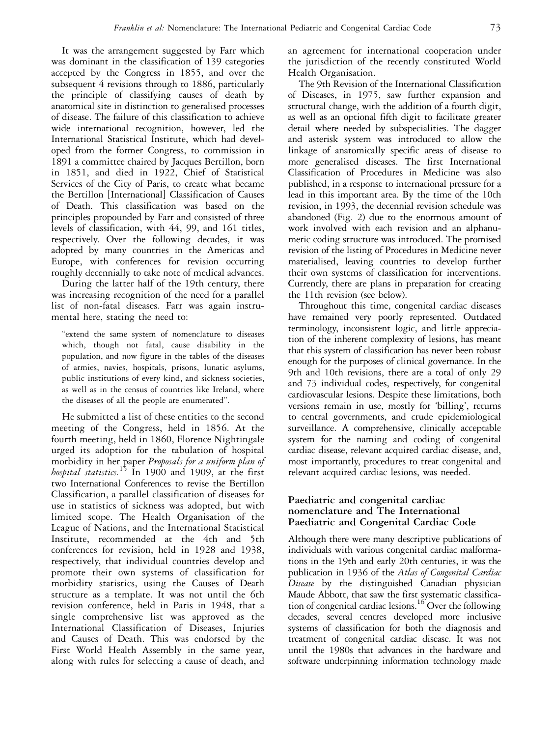It was the arrangement suggested by Farr which was dominant in the classification of 139 categories accepted by the Congress in 1855, and over the subsequent 4 revisions through to 1886, particularly the principle of classifying causes of death by anatomical site in distinction to generalised processes of disease. The failure of this classification to achieve wide international recognition, however, led the International Statistical Institute, which had developed from the former Congress, to commission in 1891 a committee chaired by Jacques Bertillon, born in 1851, and died in 1922, Chief of Statistical Services of the City of Paris, to create what became the Bertillon [International] Classification of Causes of Death. This classification was based on the principles propounded by Farr and consisted of three levels of classification, with 44, 99, and 161 titles, respectively. Over the following decades, it was adopted by many countries in the Americas and Europe, with conferences for revision occurring roughly decennially to take note of medical advances.

During the latter half of the 19th century, there was increasing recognition of the need for a parallel list of non-fatal diseases. Farr was again instrumental here, stating the need to:

"extend the same system of nomenclature to diseases which, though not fatal, cause disability in the population, and now figure in the tables of the diseases of armies, navies, hospitals, prisons, lunatic asylums, public institutions of every kind, and sickness societies, as well as in the census of countries like Ireland, where the diseases of all the people are enumerated''.

He submitted a list of these entities to the second meeting of the Congress, held in 1856. At the fourth meeting, held in 1860, Florence Nightingale urged its adoption for the tabulation of hospital morbidity in her paper Proposals for a uniform plan of hospital statistics.<sup>15</sup> In 1900 and 1909, at the first two International Conferences to revise the Bertillon Classification, a parallel classification of diseases for use in statistics of sickness was adopted, but with limited scope. The Health Organisation of the League of Nations, and the International Statistical Institute, recommended at the 4th and 5th conferences for revision, held in 1928 and 1938, respectively, that individual countries develop and promote their own systems of classification for morbidity statistics, using the Causes of Death structure as a template. It was not until the 6th revision conference, held in Paris in 1948, that a single comprehensive list was approved as the International Classification of Diseases, Injuries and Causes of Death. This was endorsed by the First World Health Assembly in the same year, along with rules for selecting a cause of death, and

an agreement for international cooperation under the jurisdiction of the recently constituted World Health Organisation.

The 9th Revision of the International Classification of Diseases, in 1975, saw further expansion and structural change, with the addition of a fourth digit, as well as an optional fifth digit to facilitate greater detail where needed by subspecialities. The dagger and asterisk system was introduced to allow the linkage of anatomically specific areas of disease to more generalised diseases. The first International Classification of Procedures in Medicine was also published, in a response to international pressure for a lead in this important area. By the time of the 10th revision, in 1993, the decennial revision schedule was abandoned (Fig. 2) due to the enormous amount of work involved with each revision and an alphanumeric coding structure was introduced. The promised revision of the listing of Procedures in Medicine never materialised, leaving countries to develop further their own systems of classification for interventions. Currently, there are plans in preparation for creating the 11th revision (see below).

Throughout this time, congenital cardiac diseases have remained very poorly represented. Outdated terminology, inconsistent logic, and little appreciation of the inherent complexity of lesions, has meant that this system of classification has never been robust enough for the purposes of clinical governance. In the 9th and 10th revisions, there are a total of only 29 and 73 individual codes, respectively, for congenital cardiovascular lesions. Despite these limitations, both versions remain in use, mostly for 'billing', returns to central governments, and crude epidemiological surveillance. A comprehensive, clinically acceptable system for the naming and coding of congenital cardiac disease, relevant acquired cardiac disease, and, most importantly, procedures to treat congenital and relevant acquired cardiac lesions, was needed.

## Paediatric and congenital cardiac nomenclature and The International Paediatric and Congenital Cardiac Code

Although there were many descriptive publications of individuals with various congenital cardiac malformations in the 19th and early 20th centuries, it was the publication in 1936 of the Atlas of Congenital Cardiac Disease by the distinguished Canadian physician Maude Abbott, that saw the first systematic classification of congenital cardiac lesions.<sup>16</sup> Over the following decades, several centres developed more inclusive systems of classification for both the diagnosis and treatment of congenital cardiac disease. It was not until the 1980s that advances in the hardware and software underpinning information technology made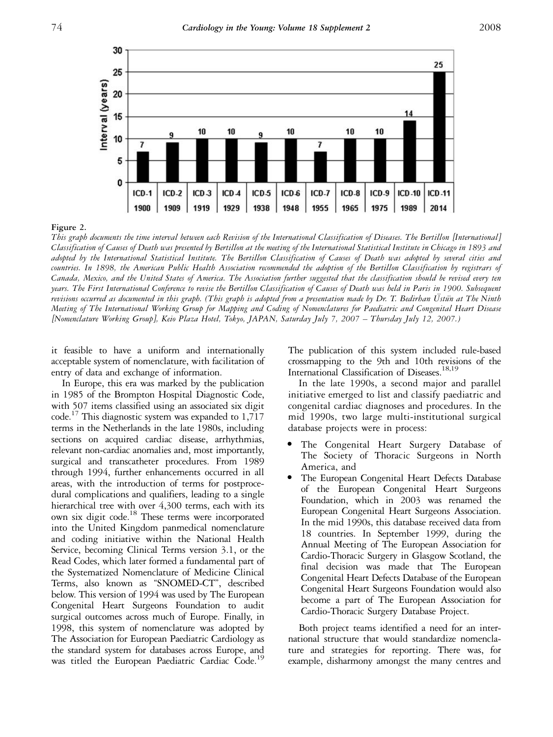

#### Figure 2.

This graph documents the time interval between each Revision of the International Classification of Diseases. The Bertillon [International] Classification of Causes of Death was presented by Bertillon at the meeting of the International Statistical Institute in Chicago in 1893 and adopted by the International Statistical Institute. The Bertillon Classification of Causes of Death was adopted by several cities and countries. In 1898, the American Public Health Association recommended the adoption of the Bertillon Classification by registrars of Canada, Mexico, and the United States of America. The Association further suggested that the classification should be revised every ten years. The First International Conference to revise the Bertillon Classification of Causes of Death was held in Paris in 1900. Subsequent revisions occurred as documented in this graph. (This graph is adopted from a presentation made by Dr. T. Bedirhan Ustun at The Ninth Meeting of The International Working Group for Mapping and Coding of Nomenclatures for Paediatric and Congenital Heart Disease [Nomenclature Working Group], Keio Plaza Hotel, Tokyo, JAPAN, Saturday July 7, 2007 – Thursday July 12, 2007.)

it feasible to have a uniform and internationally acceptable system of nomenclature, with facilitation of entry of data and exchange of information.

In Europe, this era was marked by the publication in 1985 of the Brompton Hospital Diagnostic Code, with 507 items classified using an associated six digit code.<sup>17</sup> This diagnostic system was expanded to 1,717 terms in the Netherlands in the late 1980s, including sections on acquired cardiac disease, arrhythmias, relevant non-cardiac anomalies and, most importantly, surgical and transcatheter procedures. From 1989 through 1994, further enhancements occurred in all areas, with the introduction of terms for postprocedural complications and qualifiers, leading to a single hierarchical tree with over 4,300 terms, each with its own six digit code.<sup>18</sup> These terms were incorporated into the United Kingdom panmedical nomenclature and coding initiative within the National Health Service, becoming Clinical Terms version 3.1, or the Read Codes, which later formed a fundamental part of the Systematized Nomenclature of Medicine Clinical Terms, also known as ''SNOMED-CT'', described below. This version of 1994 was used by The European Congenital Heart Surgeons Foundation to audit surgical outcomes across much of Europe. Finally, in 1998, this system of nomenclature was adopted by The Association for European Paediatric Cardiology as the standard system for databases across Europe, and was titled the European Paediatric Cardiac Code.<sup>19</sup>

The publication of this system included rule-based crossmapping to the 9th and 10th revisions of the International Classification of Diseases.<sup>18,19</sup>

In the late 1990s, a second major and parallel initiative emerged to list and classify paediatric and congenital cardiac diagnoses and procedures. In the mid 1990s, two large multi-institutional surgical database projects were in process:

- The Congenital Heart Surgery Database of The Society of Thoracic Surgeons in North America, and
- The European Congenital Heart Defects Database of the European Congenital Heart Surgeons Foundation, which in 2003 was renamed the European Congenital Heart Surgeons Association. In the mid 1990s, this database received data from 18 countries. In September 1999, during the Annual Meeting of The European Association for Cardio-Thoracic Surgery in Glasgow Scotland, the final decision was made that The European Congenital Heart Defects Database of the European Congenital Heart Surgeons Foundation would also become a part of The European Association for Cardio-Thoracic Surgery Database Project.

Both project teams identified a need for an international structure that would standardize nomenclature and strategies for reporting. There was, for example, disharmony amongst the many centres and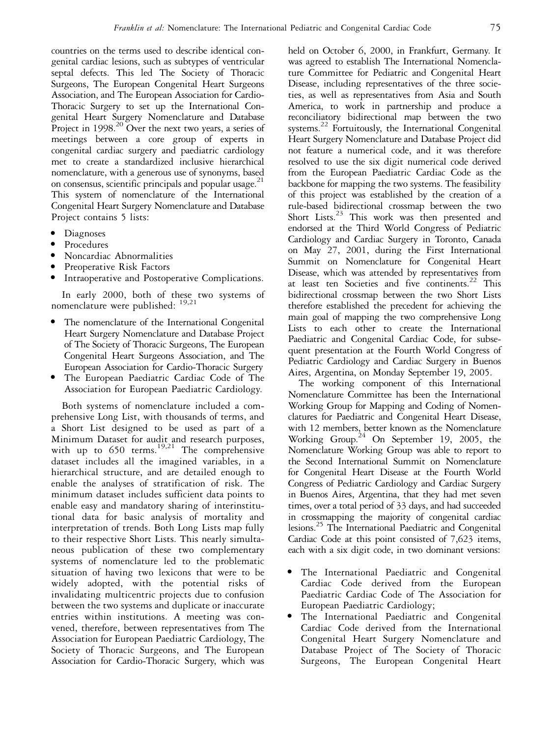countries on the terms used to describe identical congenital cardiac lesions, such as subtypes of ventricular septal defects. This led The Society of Thoracic Surgeons, The European Congenital Heart Surgeons Association, and The European Association for Cardio-Thoracic Surgery to set up the International Congenital Heart Surgery Nomenclature and Database Project in 1998.<sup>20</sup> Over the next two years, a series of meetings between a core group of experts in congenital cardiac surgery and paediatric cardiology met to create a standardized inclusive hierarchical nomenclature, with a generous use of synonyms, based on consensus, scientific principals and popular usage.<sup>21</sup> This system of nomenclature of the International Congenital Heart Surgery Nomenclature and Database Project contains 5 lists:

- <sup>&</sup>gt; Diagnoses
- **Procedures**
- <sup>&</sup>gt; Noncardiac Abnormalities
- Preoperative Risk Factors
- Intraoperative and Postoperative Complications.

In early 2000, both of these two systems of nomenclature were published: 19,21

- The nomenclature of the International Congenital Heart Surgery Nomenclature and Database Project of The Society of Thoracic Surgeons, The European Congenital Heart Surgeons Association, and The European Association for Cardio-Thoracic Surgery
- The European Paediatric Cardiac Code of The Association for European Paediatric Cardiology.

Both systems of nomenclature included a comprehensive Long List, with thousands of terms, and a Short List designed to be used as part of a Minimum Dataset for audit and research purposes, with up to  $650$  terms.<sup>19,21</sup> The comprehensive dataset includes all the imagined variables, in a hierarchical structure, and are detailed enough to enable the analyses of stratification of risk. The minimum dataset includes sufficient data points to enable easy and mandatory sharing of interinstitutional data for basic analysis of mortality and interpretation of trends. Both Long Lists map fully to their respective Short Lists. This nearly simultaneous publication of these two complementary systems of nomenclature led to the problematic situation of having two lexicons that were to be widely adopted, with the potential risks of invalidating multicentric projects due to confusion between the two systems and duplicate or inaccurate entries within institutions. A meeting was convened, therefore, between representatives from The Association for European Paediatric Cardiology, The Society of Thoracic Surgeons, and The European Association for Cardio-Thoracic Surgery, which was

held on October 6, 2000, in Frankfurt, Germany. It was agreed to establish The International Nomenclature Committee for Pediatric and Congenital Heart Disease, including representatives of the three societies, as well as representatives from Asia and South America, to work in partnership and produce a reconciliatory bidirectional map between the two systems.<sup>22</sup> Fortuitously, the International Congenital Heart Surgery Nomenclature and Database Project did not feature a numerical code, and it was therefore resolved to use the six digit numerical code derived from the European Paediatric Cardiac Code as the backbone for mapping the two systems. The feasibility of this project was established by the creation of a rule-based bidirectional crossmap between the two Short Lists.<sup>23</sup> This work was then presented and endorsed at the Third World Congress of Pediatric Cardiology and Cardiac Surgery in Toronto, Canada on May 27, 2001, during the First International Summit on Nomenclature for Congenital Heart Disease, which was attended by representatives from at least ten Societies and five continents.<sup>22</sup> This bidirectional crossmap between the two Short Lists therefore established the precedent for achieving the main goal of mapping the two comprehensive Long Lists to each other to create the International Paediatric and Congenital Cardiac Code, for subsequent presentation at the Fourth World Congress of Pediatric Cardiology and Cardiac Surgery in Buenos Aires, Argentina, on Monday September 19, 2005.

The working component of this International Nomenclature Committee has been the International Working Group for Mapping and Coding of Nomenclatures for Paediatric and Congenital Heart Disease, with 12 members, better known as the Nomenclature Working Group.<sup>24</sup> On September 19, 2005, the Nomenclature Working Group was able to report to the Second International Summit on Nomenclature for Congenital Heart Disease at the Fourth World Congress of Pediatric Cardiology and Cardiac Surgery in Buenos Aires, Argentina, that they had met seven times, over a total period of 33 days, and had succeeded in crossmapping the majority of congenital cardiac lesions.25 The International Paediatric and Congenital Cardiac Code at this point consisted of 7,623 items, each with a six digit code, in two dominant versions:

- <sup>&</sup>gt; The International Paediatric and Congenital Cardiac Code derived from the European Paediatric Cardiac Code of The Association for European Paediatric Cardiology;
- The International Paediatric and Congenital Cardiac Code derived from the International Congenital Heart Surgery Nomenclature and Database Project of The Society of Thoracic Surgeons, The European Congenital Heart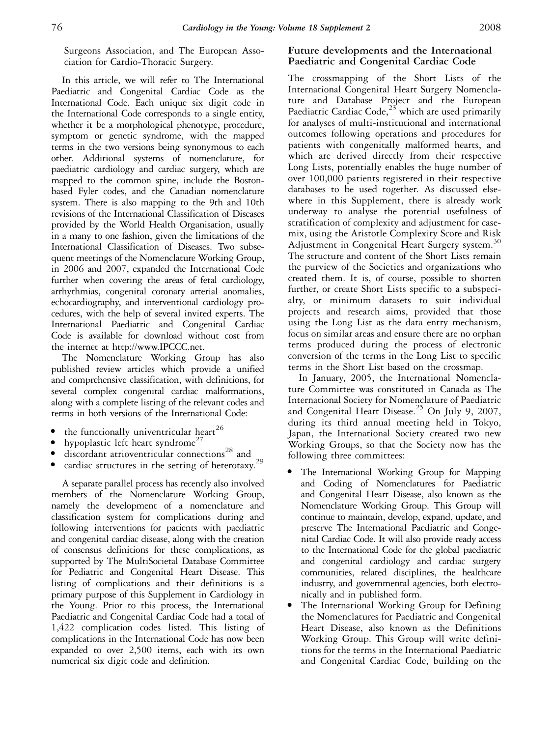Surgeons Association, and The European Association for Cardio-Thoracic Surgery.

In this article, we will refer to The International Paediatric and Congenital Cardiac Code as the International Code. Each unique six digit code in the International Code corresponds to a single entity, whether it be a morphological phenotype, procedure, symptom or genetic syndrome, with the mapped terms in the two versions being synonymous to each other. Additional systems of nomenclature, for paediatric cardiology and cardiac surgery, which are mapped to the common spine, include the Bostonbased Fyler codes, and the Canadian nomenclature system. There is also mapping to the 9th and 10th revisions of the International Classification of Diseases provided by the World Health Organisation, usually in a many to one fashion, given the limitations of the International Classification of Diseases. Two subsequent meetings of the Nomenclature Working Group, in 2006 and 2007, expanded the International Code further when covering the areas of fetal cardiology, arrhythmias, congenital coronary arterial anomalies, echocardiography, and interventional cardiology procedures, with the help of several invited experts. The International Paediatric and Congenital Cardiac Code is available for download without cost from the internet at http://www.IPCCC.net.

The Nomenclature Working Group has also published review articles which provide a unified and comprehensive classification, with definitions, for several complex congenital cardiac malformations, along with a complete listing of the relevant codes and terms in both versions of the International Code:

- the functionally univentricular heart<sup>26</sup>
- hypoplastic left heart syndrome<sup>27</sup>
- $\bullet$  discordant atrioventricular connections<sup>28</sup> and
- cardiac structures in the setting of heterotaxy.<sup>29</sup>

A separate parallel process has recently also involved members of the Nomenclature Working Group, namely the development of a nomenclature and classification system for complications during and following interventions for patients with paediatric and congenital cardiac disease, along with the creation of consensus definitions for these complications, as supported by The MultiSocietal Database Committee for Pediatric and Congenital Heart Disease. This listing of complications and their definitions is a primary purpose of this Supplement in Cardiology in the Young. Prior to this process, the International Paediatric and Congenital Cardiac Code had a total of 1,422 complication codes listed. This listing of complications in the International Code has now been expanded to over 2,500 items, each with its own numerical six digit code and definition.

# Future developments and the International Paediatric and Congenital Cardiac Code

The crossmapping of the Short Lists of the International Congenital Heart Surgery Nomenclature and Database Project and the European Paediatric Cardiac Code, $2^{3}$  which are used primarily for analyses of multi-institutional and international outcomes following operations and procedures for patients with congenitally malformed hearts, and which are derived directly from their respective Long Lists, potentially enables the huge number of over 100,000 patients registered in their respective databases to be used together. As discussed elsewhere in this Supplement, there is already work underway to analyse the potential usefulness of stratification of complexity and adjustment for casemix, using the Aristotle Complexity Score and Risk Adjustment in Congenital Heart Surgery system.<sup>30</sup> The structure and content of the Short Lists remain the purview of the Societies and organizations who created them. It is, of course, possible to shorten further, or create Short Lists specific to a subspecialty, or minimum datasets to suit individual projects and research aims, provided that those using the Long List as the data entry mechanism, focus on similar areas and ensure there are no orphan terms produced during the process of electronic conversion of the terms in the Long List to specific terms in the Short List based on the crossmap.

In January, 2005, the International Nomenclature Committee was constituted in Canada as The International Society for Nomenclature of Paediatric and Congenital Heart Disease.<sup>25</sup> On July 9, 2007, during its third annual meeting held in Tokyo, Japan, the International Society created two new Working Groups, so that the Society now has the following three committees:

- <sup>&</sup>gt; The International Working Group for Mapping and Coding of Nomenclatures for Paediatric and Congenital Heart Disease, also known as the Nomenclature Working Group. This Group will continue to maintain, develop, expand, update, and preserve The International Paediatric and Congenital Cardiac Code. It will also provide ready access to the International Code for the global paediatric and congenital cardiology and cardiac surgery communities, related disciplines, the healthcare industry, and governmental agencies, both electronically and in published form.
- The International Working Group for Defining the Nomenclatures for Paediatric and Congenital Heart Disease, also known as the Definitions Working Group. This Group will write definitions for the terms in the International Paediatric and Congenital Cardiac Code, building on the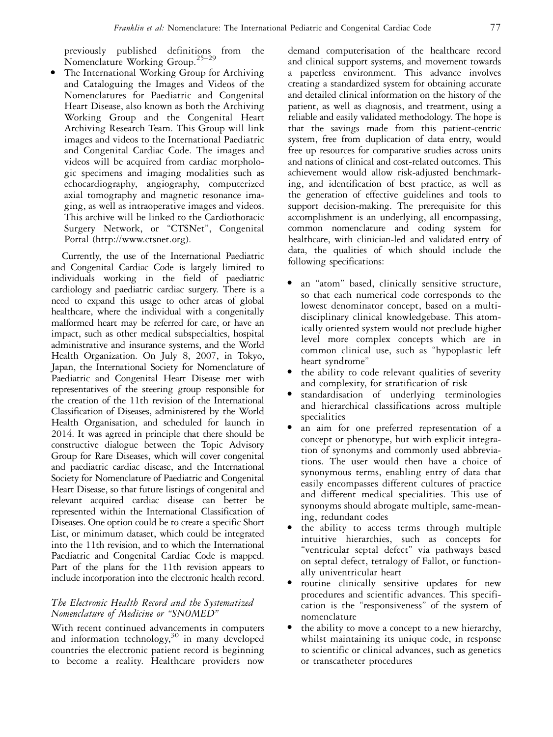previously published definitions from the Nomenclature Working Group.25–29

The International Working Group for Archiving and Cataloguing the Images and Videos of the Nomenclatures for Paediatric and Congenital Heart Disease, also known as both the Archiving Working Group and the Congenital Heart Archiving Research Team. This Group will link images and videos to the International Paediatric and Congenital Cardiac Code. The images and videos will be acquired from cardiac morphologic specimens and imaging modalities such as echocardiography, angiography, computerized axial tomography and magnetic resonance imaging, as well as intraoperative images and videos. This archive will be linked to the Cardiothoracic Surgery Network, or "CTSNet", Congenital Portal (http://www.ctsnet.org).

Currently, the use of the International Paediatric and Congenital Cardiac Code is largely limited to individuals working in the field of paediatric cardiology and paediatric cardiac surgery. There is a need to expand this usage to other areas of global healthcare, where the individual with a congenitally malformed heart may be referred for care, or have an impact, such as other medical subspecialties, hospital administrative and insurance systems, and the World Health Organization. On July 8, 2007, in Tokyo, Japan, the International Society for Nomenclature of Paediatric and Congenital Heart Disease met with representatives of the steering group responsible for the creation of the 11th revision of the International Classification of Diseases, administered by the World Health Organisation, and scheduled for launch in 2014. It was agreed in principle that there should be constructive dialogue between the Topic Advisory Group for Rare Diseases, which will cover congenital and paediatric cardiac disease, and the International Society for Nomenclature of Paediatric and Congenital Heart Disease, so that future listings of congenital and relevant acquired cardiac disease can better be represented within the International Classification of Diseases. One option could be to create a specific Short List, or minimum dataset, which could be integrated into the 11th revision, and to which the International Paediatric and Congenital Cardiac Code is mapped. Part of the plans for the 11th revision appears to include incorporation into the electronic health record.

## The Electronic Health Record and the Systematized Nomenclature of Medicine or ''SNOMED''

With recent continued advancements in computers and information technology,<sup>30</sup> in many developed countries the electronic patient record is beginning to become a reality. Healthcare providers now

demand computerisation of the healthcare record and clinical support systems, and movement towards a paperless environment. This advance involves creating a standardized system for obtaining accurate and detailed clinical information on the history of the patient, as well as diagnosis, and treatment, using a reliable and easily validated methodology. The hope is that the savings made from this patient-centric system, free from duplication of data entry, would free up resources for comparative studies across units and nations of clinical and cost-related outcomes. This achievement would allow risk-adjusted benchmarking, and identification of best practice, as well as the generation of effective guidelines and tools to support decision-making. The prerequisite for this accomplishment is an underlying, all encompassing, common nomenclature and coding system for healthcare, with clinician-led and validated entry of data, the qualities of which should include the following specifications:

- <sup>&</sup>gt; an ''atom'' based, clinically sensitive structure, so that each numerical code corresponds to the lowest denominator concept, based on a multidisciplinary clinical knowledgebase. This atomically oriented system would not preclude higher level more complex concepts which are in common clinical use, such as ''hypoplastic left heart syndrome''
- the ability to code relevant qualities of severity and complexity, for stratification of risk
- standardisation of underlying terminologies and hierarchical classifications across multiple specialities
- an aim for one preferred representation of a concept or phenotype, but with explicit integration of synonyms and commonly used abbreviations. The user would then have a choice of synonymous terms, enabling entry of data that easily encompasses different cultures of practice and different medical specialities. This use of synonyms should abrogate multiple, same-meaning, redundant codes
- the ability to access terms through multiple intuitive hierarchies, such as concepts for ''ventricular septal defect'' via pathways based on septal defect, tetralogy of Fallot, or functionally univentricular heart
- routine clinically sensitive updates for new procedures and scientific advances. This specification is the ''responsiveness'' of the system of nomenclature
- the ability to move a concept to a new hierarchy, whilst maintaining its unique code, in response to scientific or clinical advances, such as genetics or transcatheter procedures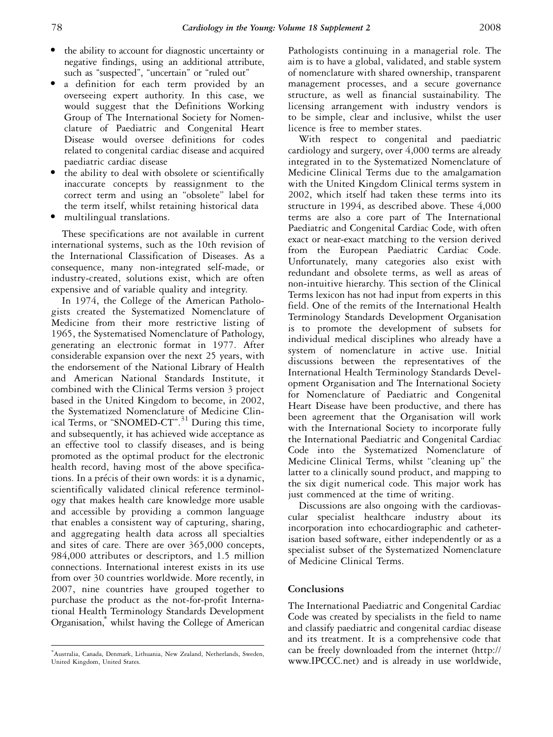- the ability to account for diagnostic uncertainty or negative findings, using an additional attribute, such as "suspected", "uncertain" or "ruled out"
- a definition for each term provided by an overseeing expert authority. In this case, we would suggest that the Definitions Working Group of The International Society for Nomenclature of Paediatric and Congenital Heart Disease would oversee definitions for codes related to congenital cardiac disease and acquired paediatric cardiac disease
- the ability to deal with obsolete or scientifically inaccurate concepts by reassignment to the correct term and using an ''obsolete'' label for the term itself, whilst retaining historical data
- multilingual translations.

These specifications are not available in current international systems, such as the 10th revision of the International Classification of Diseases. As a consequence, many non-integrated self-made, or industry-created, solutions exist, which are often expensive and of variable quality and integrity.

In 1974, the College of the American Pathologists created the Systematized Nomenclature of Medicine from their more restrictive listing of 1965, the Systematised Nomenclature of Pathology, generating an electronic format in 1977. After considerable expansion over the next 25 years, with the endorsement of the National Library of Health and American National Standards Institute, it combined with the Clinical Terms version 3 project based in the United Kingdom to become, in 2002, the Systematized Nomenclature of Medicine Clinical Terms, or "SNOMED-CT".<sup>31</sup> During this time, and subsequently, it has achieved wide acceptance as an effective tool to classify diseases, and is being promoted as the optimal product for the electronic health record, having most of the above specifications. In a précis of their own words: it is a dynamic, scientifically validated clinical reference terminology that makes health care knowledge more usable and accessible by providing a common language that enables a consistent way of capturing, sharing, and aggregating health data across all specialties and sites of care. There are over 365,000 concepts, 984,000 attributes or descriptors, and 1.5 million connections. International interest exists in its use from over 30 countries worldwide. More recently, in 2007, nine countries have grouped together to purchase the product as the not-for-profit International Health Terminology Standards Development Organisation,\* whilst having the College of American

Pathologists continuing in a managerial role. The aim is to have a global, validated, and stable system of nomenclature with shared ownership, transparent management processes, and a secure governance structure, as well as financial sustainability. The licensing arrangement with industry vendors is to be simple, clear and inclusive, whilst the user licence is free to member states.

With respect to congenital and paediatric cardiology and surgery, over 4,000 terms are already integrated in to the Systematized Nomenclature of Medicine Clinical Terms due to the amalgamation with the United Kingdom Clinical terms system in 2002, which itself had taken these terms into its structure in 1994, as described above. These 4,000 terms are also a core part of The International Paediatric and Congenital Cardiac Code, with often exact or near-exact matching to the version derived from the European Paediatric Cardiac Code. Unfortunately, many categories also exist with redundant and obsolete terms, as well as areas of non-intuitive hierarchy. This section of the Clinical Terms lexicon has not had input from experts in this field. One of the remits of the International Health Terminology Standards Development Organisation is to promote the development of subsets for individual medical disciplines who already have a system of nomenclature in active use. Initial discussions between the representatives of the International Health Terminology Standards Development Organisation and The International Society for Nomenclature of Paediatric and Congenital Heart Disease have been productive, and there has been agreement that the Organisation will work with the International Society to incorporate fully the International Paediatric and Congenital Cardiac Code into the Systematized Nomenclature of Medicine Clinical Terms, whilst "cleaning up" the latter to a clinically sound product, and mapping to the six digit numerical code. This major work has just commenced at the time of writing.

Discussions are also ongoing with the cardiovascular specialist healthcare industry about its incorporation into echocardiographic and catheterisation based software, either independently or as a specialist subset of the Systematized Nomenclature of Medicine Clinical Terms.

## **Conclusions**

The International Paediatric and Congenital Cardiac Code was created by specialists in the field to name and classify paediatric and congenital cardiac disease and its treatment. It is a comprehensive code that can be freely downloaded from the internet (http:// www.IPCCC.net) and is already in use worldwide,

<sup>\*</sup> Australia, Canada, Denmark, Lithuania, New Zealand, Netherlands, Sweden, United Kingdom, United States.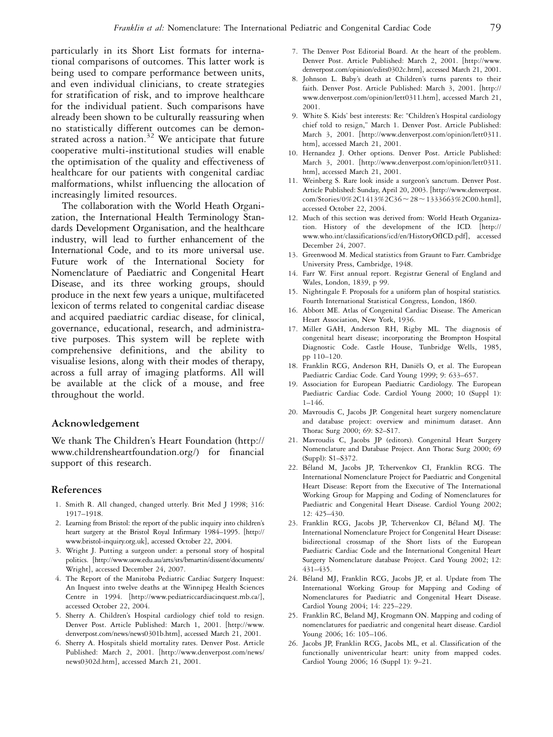particularly in its Short List formats for international comparisons of outcomes. This latter work is being used to compare performance between units, and even individual clinicians, to create strategies for stratification of risk, and to improve healthcare for the individual patient. Such comparisons have already been shown to be culturally reassuring when no statistically different outcomes can be demonstrated across a nation.<sup>32</sup> We anticipate that future cooperative multi-institutional studies will enable the optimisation of the quality and effectiveness of healthcare for our patients with congenital cardiac malformations, whilst influencing the allocation of increasingly limited resources.

The collaboration with the World Heath Organization, the International Health Terminology Standards Development Organisation, and the healthcare industry, will lead to further enhancement of the International Code, and to its more universal use. Future work of the International Society for Nomenclature of Paediatric and Congenital Heart Disease, and its three working groups, should produce in the next few years a unique, multifaceted lexicon of terms related to congenital cardiac disease and acquired paediatric cardiac disease, for clinical, governance, educational, research, and administrative purposes. This system will be replete with comprehensive definitions, and the ability to visualise lesions, along with their modes of therapy, across a full array of imaging platforms. All will be available at the click of a mouse, and free throughout the world.

## Acknowledgement

We thank The Children's Heart Foundation (http:// www.childrensheartfoundation.org/) for financial support of this research.

### References

- 1. Smith R. All changed, changed utterly. Brit Med J 1998; 316: 1917–1918.
- 2. Learning from Bristol: the report of the public inquiry into children's heart surgery at the Bristol Royal Infirmary 1984–1995. [http:// www.bristol-inquiry.org.uk], accessed October 22, 2004.
- 3. Wright J. Putting a surgeon under: a personal story of hospital politics. [http://www.uow.edu.au/arts/sts/bmartin/dissent/documents/ Wright], accessed December 24, 2007.
- 4. The Report of the Manitoba Pediatric Cardiac Surgery Inquest: An Inquest into twelve deaths at the Winnipeg Health Sciences Centre in 1994. [http://www.pediatriccardiacinquest.mb.ca/], accessed October 22, 2004.
- 5. Sherry A. Children's Hospital cardiology chief told to resign. Denver Post. Article Published: March 1, 2001. [http://www. denverpost.com/news/news0301b.htm], accessed March 21, 2001.
- 6. Sherry A. Hospitals shield mortality rates. Denver Post. Article Published: March 2, 2001. [http://www.denverpost.com/news/ news0302d.htm], accessed March 21, 2001.
- 7. The Denver Post Editorial Board. At the heart of the problem. Denver Post. Article Published: March 2, 2001. [http://www. denverpost.com/opinion/edits0302c.htm], accessed March 21, 2001.
- 8. Johnson L. Baby's death at Children's turns parents to their faith. Denver Post. Article Published: March 3, 2001. [http:// www.denverpost.com/opinion/lett0311.htm], accessed March 21, 2001.
- 9. White S. Kids' best interests: Re: ''Children's Hospital cardiology chief told to resign,'' March 1. Denver Post. Article Published: March 3, 2001. [http://www.denverpost.com/opinion/lett0311. htm], accessed March 21, 2001.
- 10. Hernandez J. Other options. Denver Post. Article Published: March 3, 2001. [http://www.denverpost.com/opinion/lett0311. htm], accessed March 21, 2001.
- 11. Weinberg S. Rare look inside a surgeon's sanctum. Denver Post. Article Published: Sunday, April 20, 2003. [http://www.denverpost. com/Stories/0%2C1413%2C36~28~1333663%2C00.html], accessed October 22, 2004.
- 12. Much of this section was derived from: World Heath Organization. History of the development of the ICD. [http:// www.who.int/classifications/icd/en/HistoryOfICD.pdf], accessed December 24, 2007.
- 13. Greenwood M. Medical statistics from Graunt to Farr. Cambridge University Press, Cambridge, 1948.
- 14. Farr W. First annual report. Registrar General of England and Wales, London, 1839, p 99.
- 15. Nightingale F. Proposals for a uniform plan of hospital statistics. Fourth International Statistical Congress, London, 1860.
- 16. Abbott ME. Atlas of Congenital Cardiac Disease. The American Heart Association, New York, 1936.
- 17. Miller GAH, Anderson RH, Rigby ML. The diagnosis of congenital heart disease; incorporating the Brompton Hospital Diagnostic Code. Castle House, Tunbridge Wells, 1985, pp 110–120.
- 18. Franklin RCG, Anderson RH, Daniëls O, et al. The European Paediatric Cardiac Code. Card Young 1999; 9: 633–657.
- 19. Association for European Paediatric Cardiology. The European Paediatric Cardiac Code. Cardiol Young 2000; 10 (Suppl 1): 1–146.
- 20. Mavroudis C, Jacobs JP. Congenital heart surgery nomenclature and database project: overview and minimum dataset. Ann Thorac Surg 2000; 69: S2–S17.
- 21. Mavroudis C, Jacobs JP (editors). Congenital Heart Surgery Nomenclature and Database Project. Ann Thorac Surg 2000; 69 (Suppl): S1–S372.
- 22. Béland M, Jacobs JP, Tchervenkov CI, Franklin RCG. The International Nomenclature Project for Paediatric and Congenital Heart Disease: Report from the Executive of The International Working Group for Mapping and Coding of Nomenclatures for Paediatric and Congenital Heart Disease. Cardiol Young 2002; 12: 425–430.
- 23. Franklin RCG, Jacobs JP, Tchervenkov CI, Béland MJ. The International Nomenclature Project for Congenital Heart Disease: bidirectional crossmap of the Short lists of the European Paediatric Cardiac Code and the International Congenital Heart Surgery Nomenclature database Project. Card Young 2002; 12: 431–435.
- 24. Béland MJ, Franklin RCG, Jacobs JP, et al. Update from The International Working Group for Mapping and Coding of Nomenclatures for Paediatric and Congenital Heart Disease. Cardiol Young 2004; 14: 225–229.
- 25. Franklin RC, Beland MJ, Krogmann ON. Mapping and coding of nomenclatures for paediatric and congenital heart disease. Cardiol Young 2006; 16: 105–106.
- 26. Jacobs JP, Franklin RCG, Jacobs ML, et al. Classification of the functionally univentricular heart: unity from mapped codes. Cardiol Young 2006; 16 (Suppl 1): 9–21.